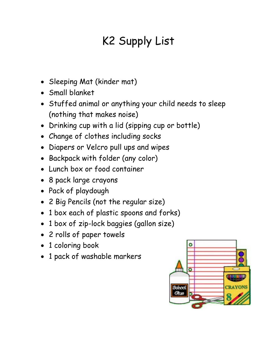# K2 Supply List

- Sleeping Mat (kinder mat)
- Small blanket
- Stuffed animal or anything your child needs to sleep (nothing that makes noise)
- Drinking cup with a lid (sipping cup or bottle)
- Change of clothes including socks
- Diapers or Velcro pull ups and wipes
- Backpack with folder (any color)
- Lunch box or food container
- 8 pack large crayons
- Pack of playdough
- 2 Big Pencils (not the regular size)
- 1 box each of plastic spoons and forks)
- 1 box of zip-lock baggies (gallon size)
- 2 rolls of paper towels
- 1 coloring book
- 1 pack of washable markers

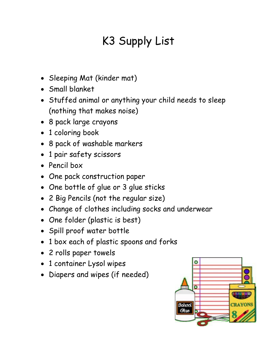# K3 Supply List

- Sleeping Mat (kinder mat)
- Small blanket
- Stuffed animal or anything your child needs to sleep (nothing that makes noise)
- 8 pack large crayons
- 1 coloring book
- 8 pack of washable markers
- 1 pair safety scissors
- Pencil box
- One pack construction paper
- One bottle of glue or 3 glue sticks
- 2 Big Pencils (not the regular size)
- Change of clothes including socks and underwear
- One folder (plastic is best)
- Spill proof water bottle
- 1 box each of plastic spoons and forks
- 2 rolls paper towels
- 1 container Lysol wipes
- Diapers and wipes (if needed)

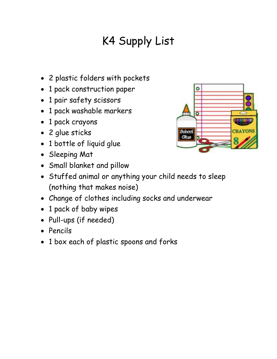# K4 Supply List

- 2 plastic folders with pockets
- 1 pack construction paper
- 1 pair safety scissors
- 1 pack washable markers
- 1 pack crayons
- 2 glue sticks
- 1 bottle of liquid glue
- Sleeping Mat
- Small blanket and pillow
- Stuffed animal or anything your child needs to sleep (nothing that makes noise)
- Change of clothes including socks and underwear
- 1 pack of baby wipes
- Pull-ups (if needed)
- Pencils
- 1 box each of plastic spoons and forks

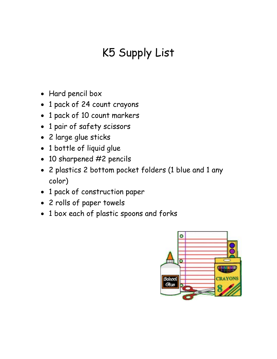# K5 Supply List

- Hard pencil box
- 1 pack of 24 count crayons
- 1 pack of 10 count markers
- 1 pair of safety scissors
- 2 large glue sticks
- 1 bottle of liquid glue
- 10 sharpened #2 pencils
- 2 plastics 2 bottom pocket folders (1 blue and 1 any color)
- 1 pack of construction paper
- 2 rolls of paper towels
- 1 box each of plastic spoons and forks

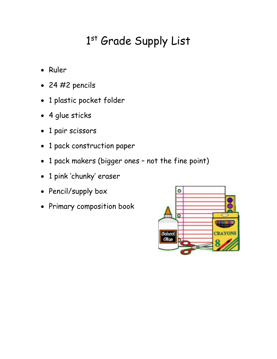### 1st Grade Supply List

- Ruler
- 24 #2 pencils
- 1 plastic pocket folder
- 4 glue sticks
- 1 pair scissors
- 1 pack construction paper
- 1 pack makers (bigger ones not the fine point)
- 1 pink 'chunky' eraser
- Pencil/supply box
- Primary composition book

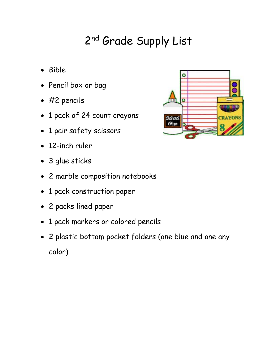# 2<sup>nd</sup> Grade Supply List

- Bible
- Pencil box or bag
- #2 pencils
- 1 pack of 24 count crayons
- 1 pair safety scissors
- 12-inch ruler
- 3 glue sticks
- 2 marble composition notebooks
- 1 pack construction paper
- 2 packs lined paper
- 1 pack markers or colored pencils
- 2 plastic bottom pocket folders (one blue and one any color)

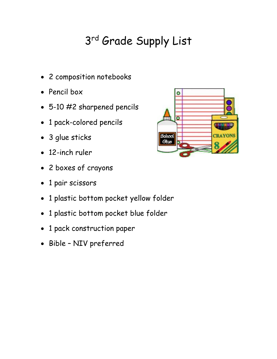# 3<sup>rd</sup> Grade Supply List

- 2 composition notebooks
- Pencil box
- 5-10 #2 sharpened pencils
- 1 pack-colored pencils
- 3 glue sticks
- 12-inch ruler
- 2 boxes of crayons
- 1 pair scissors
- 1 plastic bottom pocket yellow folder
- 1 plastic bottom pocket blue folder
- 1 pack construction paper
- Bible NIV preferred

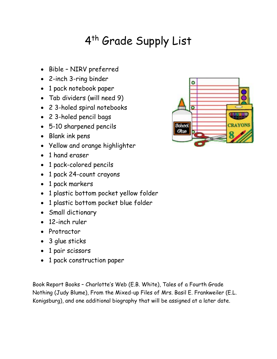### 4<sup>th</sup> Grade Supply List

- Bible NIRV preferred
- 2-inch 3-ring binder
- 1 pack notebook paper
- Tab dividers (will need 9)
- 2 3-holed spiral notebooks
- 2 3-holed pencil bags
- 5-10 sharpened pencils
- Blank ink pens
- Yellow and orange highlighter
- 1 hand eraser
- 1 pack-colored pencils
- 1 pack 24-count crayons
- 1 pack markers
- 1 plastic bottom pocket yellow folder
- 1 plastic bottom pocket blue folder
- Small dictionary
- 12-inch ruler
- Protractor
- 3 glue sticks
- 1 pair scissors
- 1 pack construction paper

Book Report Books – Charlotte's Web (E.B. White), Tales of a Fourth Grade Nothing (Judy Blume), From the Mixed-up Files of Mrs. Basil E. Frankweiler (E.L. Konigsburg), and one additional biography that will be assigned at a later date.

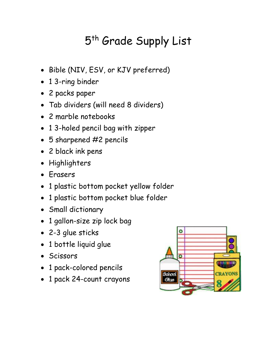## 5<sup>th</sup> Grade Supply List

- Bible (NIV, ESV, or KJV preferred)
- 1 3-ring binder
- 2 packs paper
- Tab dividers (will need 8 dividers)
- 2 marble notebooks
- 1 3-holed pencil bag with zipper
- 5 sharpened #2 pencils
- 2 black ink pens
- Highlighters
- Erasers
- 1 plastic bottom pocket yellow folder
- 1 plastic bottom pocket blue folder
- Small dictionary
- 1 gallon-size zip lock bag
- 2-3 glue sticks
- 1 bottle liquid glue
- Scissors
- 1 pack-colored pencils
- 1 pack 24-count crayons

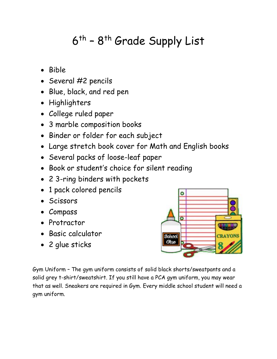#### 6<sup>th</sup> - 8<sup>th</sup> Grade Supply List

- Bible
- Several #2 pencils
- Blue, black, and red pen
- Highlighters
- College ruled paper
- 3 marble composition books
- Binder or folder for each subject
- Large stretch book cover for Math and English books
- Several packs of loose-leaf paper
- Book or student's choice for silent reading
- 2 3-ring binders with pockets
- 1 pack colored pencils
- Scissors
- Compass
- Protractor
- Basic calculator
- 2 glue sticks



Gym Uniform – The gym uniform consists of solid black shorts/sweatpants and a solid grey t-shirt/sweatshirt. If you still have a PCA gym uniform, you may wear that as well. Sneakers are required in Gym. Every middle school student will need a gym uniform.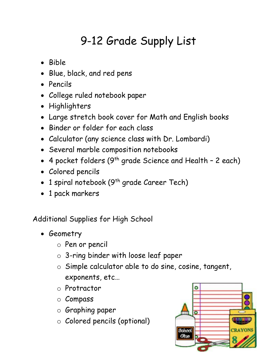### 9-12 Grade Supply List

- Bible
- Blue, black, and red pens
- Pencils
- College ruled notebook paper
- Highlighters
- Large stretch book cover for Math and English books
- Binder or folder for each class
- Calculator (any science class with Dr. Lombardi)
- Several marble composition notebooks
- 4 pocket folders  $(9^{th}$  grade Science and Health 2 each)
- Colored pencils
- 1 spiral notebook  $(9<sup>th</sup>$  grade Career Tech)
- 1 pack markers

Additional Supplies for High School

- Geometry
	- o Pen or pencil
	- o 3-ring binder with loose leaf paper
	- o Simple calculator able to do sine, cosine, tangent, exponents, etc…
	- o Protractor
	- o Compass
	- o Graphing paper
	- o Colored pencils (optional)

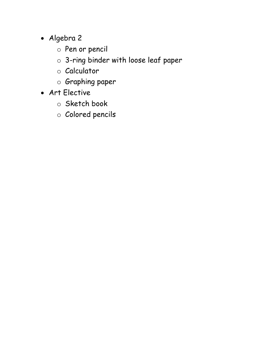- Algebra 2
	- o Pen or pencil
	- o 3-ring binder with loose leaf paper
	- o Calculator
	- o Graphing paper
- Art Elective
	- o Sketch book
	- o Colored pencils